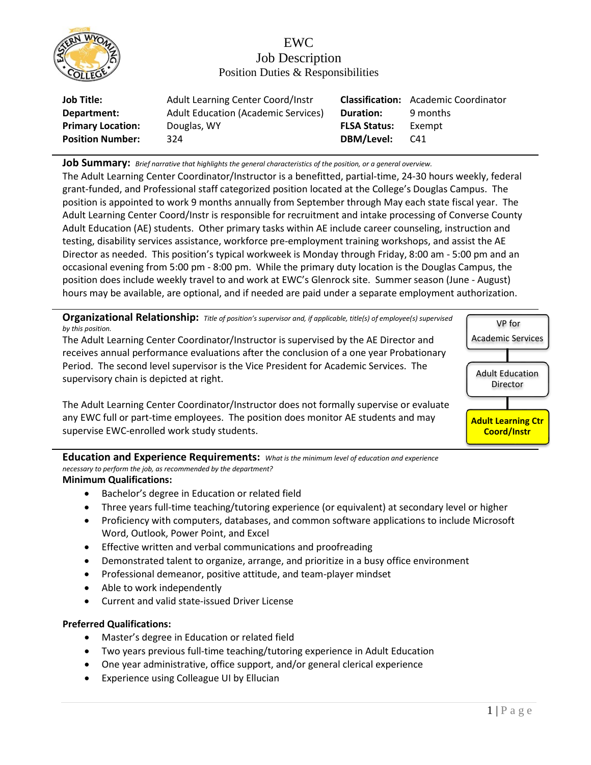

## EWC Job Description Position Duties & Responsibilities

| <b>Job Title:</b>        | Adult Learning Center Coord/Instr          |                     | <b>Classification:</b> Academic Coordinator |
|--------------------------|--------------------------------------------|---------------------|---------------------------------------------|
| Department:              | <b>Adult Education (Academic Services)</b> | <b>Duration:</b>    | 9 months                                    |
| <b>Primary Location:</b> | Douglas, WY                                | <b>FLSA Status:</b> | Exempt                                      |
| <b>Position Number:</b>  | 324                                        | DBM/Level:          | C41                                         |

**Job Summary:** *Brief narrative that highlights the general characteristics of the position, or a general overview.*

The Adult Learning Center Coordinator/Instructor is a benefitted, partial-time, 24-30 hours weekly, federal grant-funded, and Professional staff categorized position located at the College's Douglas Campus. The position is appointed to work 9 months annually from September through May each state fiscal year. The Adult Learning Center Coord/Instr is responsible for recruitment and intake processing of Converse County Adult Education (AE) students. Other primary tasks within AE include career counseling, instruction and testing, disability services assistance, workforce pre-employment training workshops, and assist the AE Director as needed. This position's typical workweek is Monday through Friday, 8:00 am - 5:00 pm and an occasional evening from 5:00 pm - 8:00 pm. While the primary duty location is the Douglas Campus, the position does include weekly travel to and work at EWC's Glenrock site. Summer season (June - August) hours may be available, are optional, and if needed are paid under a separate employment authorization.

**Organizational Relationship:** *Title of position's supervisor and, if applicable, title(s) of employee(s) supervised by this position.*

The Adult Learning Center Coordinator/Instructor is supervised by the AE Director and receives annual performance evaluations after the conclusion of a one year Probationary Period. The second level supervisor is the Vice President for Academic Services. The supervisory chain is depicted at right.

The Adult Learning Center Coordinator/Instructor does not formally supervise or evaluate any EWC full or part-time employees. The position does monitor AE students and may supervise EWC-enrolled work study students.

VP for Academic Services Adult Education Director **Adult Learning Ctr Coord/Instr**

**Education and Experience Requirements:** *What is the minimum level of education and experience necessary to perform the job, as recommended by the department?*

## **Minimum Qualifications:**

- Bachelor's degree in Education or related field
- Three years full-time teaching/tutoring experience (or equivalent) at secondary level or higher
- Proficiency with computers, databases, and common software applications to include Microsoft Word, Outlook, Power Point, and Excel
- Effective written and verbal communications and proofreading
- Demonstrated talent to organize, arrange, and prioritize in a busy office environment
- Professional demeanor, positive attitude, and team-player mindset
- Able to work independently
- Current and valid state-issued Driver License

## **Preferred Qualifications:**

- Master's degree in Education or related field
- Two years previous full-time teaching/tutoring experience in Adult Education
- One year administrative, office support, and/or general clerical experience
- Experience using Colleague UI by Ellucian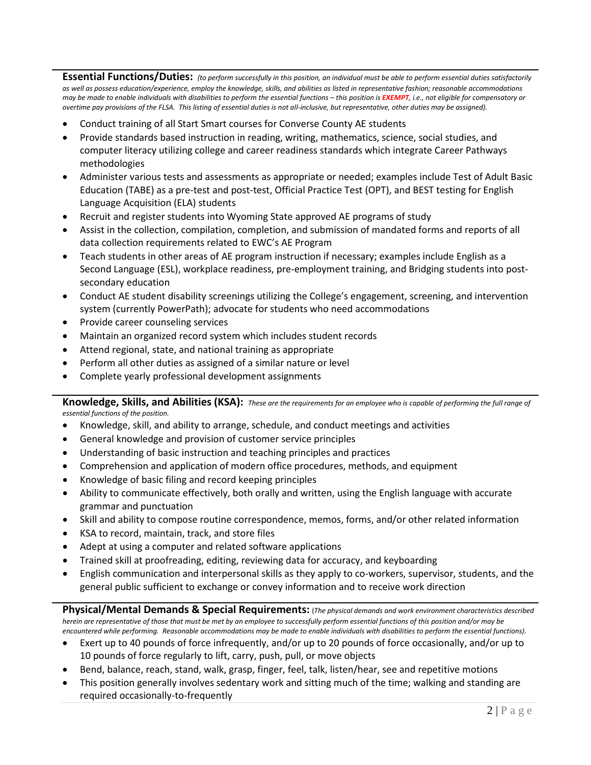**Essential Functions/Duties:** *(to perform successfully in this position, an individual must be able to perform essential duties satisfactorily as well as possess education/experience, employ the knowledge, skills, and abilities as listed in representative fashion; reasonable accommodations may be made to enable individuals with disabilities to perform the essential functions – this position is EXEMPT, i.e., not eligible for compensatory or overtime pay provisions of the FLSA. This listing of essential duties is not all-inclusive, but representative, other duties may be assigned).*

- Conduct training of all Start Smart courses for Converse County AE students
- Provide standards based instruction in reading, writing, mathematics, science, social studies, and computer literacy utilizing college and career readiness standards which integrate Career Pathways methodologies
- Administer various tests and assessments as appropriate or needed; examples include Test of Adult Basic Education (TABE) as a pre-test and post-test, Official Practice Test (OPT), and BEST testing for English Language Acquisition (ELA) students
- Recruit and register students into Wyoming State approved AE programs of study
- Assist in the collection, compilation, completion, and submission of mandated forms and reports of all data collection requirements related to EWC's AE Program
- Teach students in other areas of AE program instruction if necessary; examples include English as a Second Language (ESL), workplace readiness, pre-employment training, and Bridging students into postsecondary education
- Conduct AE student disability screenings utilizing the College's engagement, screening, and intervention system (currently PowerPath); advocate for students who need accommodations
- Provide career counseling services
- Maintain an organized record system which includes student records
- Attend regional, state, and national training as appropriate
- Perform all other duties as assigned of a similar nature or level
- Complete yearly professional development assignments

**Knowledge, Skills, and Abilities (KSA):** *These are the requirements for an employee who is capable of performing the full range of essential functions of the position.*

- Knowledge, skill, and ability to arrange, schedule, and conduct meetings and activities
- General knowledge and provision of customer service principles
- Understanding of basic instruction and teaching principles and practices
- Comprehension and application of modern office procedures, methods, and equipment
- Knowledge of basic filing and record keeping principles
- Ability to communicate effectively, both orally and written, using the English language with accurate grammar and punctuation
- Skill and ability to compose routine correspondence, memos, forms, and/or other related information
- KSA to record, maintain, track, and store files
- Adept at using a computer and related software applications
- Trained skill at proofreading, editing, reviewing data for accuracy, and keyboarding
- English communication and interpersonal skills as they apply to co-workers, supervisor, students, and the general public sufficient to exchange or convey information and to receive work direction

**Physical/Mental Demands & Special Requirements:** (*The physical demands and work environment characteristics described herein are representative of those that must be met by an employee to successfully perform essential functions of this position and/or may be encountered while performing. Reasonable accommodations may be made to enable individuals with disabilities to perform the essential functions).*

- Exert up to 40 pounds of force infrequently, and/or up to 20 pounds of force occasionally, and/or up to 10 pounds of force regularly to lift, carry, push, pull, or move objects
- Bend, balance, reach, stand, walk, grasp, finger, feel, talk, listen/hear, see and repetitive motions
- This position generally involves sedentary work and sitting much of the time; walking and standing are required occasionally-to-frequently